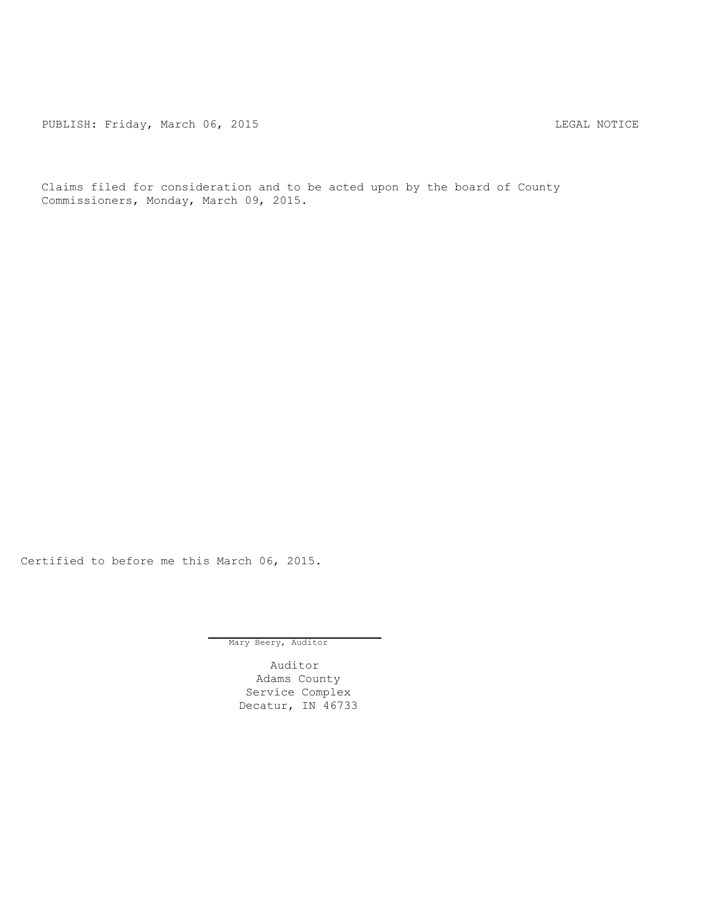PUBLISH: Friday, March 06, 2015 CHA CHANGE AND THE MOTICE

Claims filed for consideration and to be acted upon by the board of County Commissioners, Monday, March 09, 2015.

Certified to before me this March 06, 2015.

Mary Beery, Auditor

Auditor Adams County Service Complex Decatur, IN 46733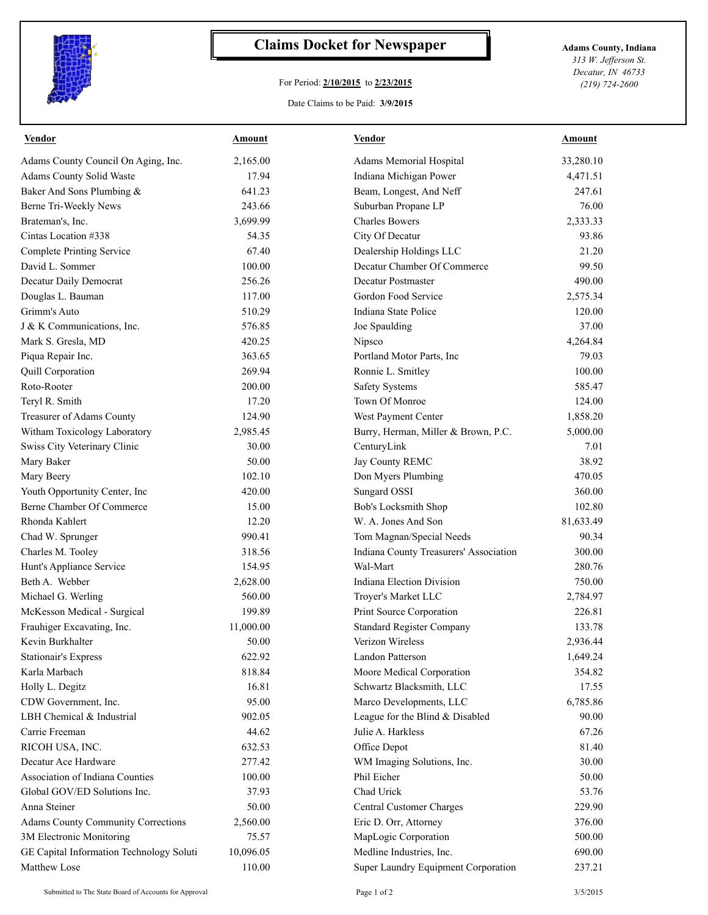

## **Claims Docket for Newspaper Adams County, Indiana**

## For Period: **2/10/2015** to **2/23/2015**

*313 W. Jefferson St. Decatur, IN 46733 (219) 724-2600*

## Date Claims to be Paid: **3/9/2015**

| <u>Vendor</u>                             | <b>Amount</b> | <b>Vendor</b>                          | <b>Amount</b> |
|-------------------------------------------|---------------|----------------------------------------|---------------|
| Adams County Council On Aging, Inc.       | 2,165.00      | Adams Memorial Hospital                | 33,280.10     |
| Adams County Solid Waste                  | 17.94         | Indiana Michigan Power                 | 4,471.51      |
| Baker And Sons Plumbing &                 | 641.23        | Beam, Longest, And Neff                | 247.61        |
| Berne Tri-Weekly News                     | 243.66        | Suburban Propane LP                    | 76.00         |
| Brateman's, Inc.                          | 3,699.99      | <b>Charles Bowers</b>                  | 2,333.33      |
| Cintas Location #338                      | 54.35         | City Of Decatur                        | 93.86         |
| <b>Complete Printing Service</b>          | 67.40         | Dealership Holdings LLC                | 21.20         |
| David L. Sommer                           | 100.00        | Decatur Chamber Of Commerce            | 99.50         |
| Decatur Daily Democrat                    | 256.26        | <b>Decatur Postmaster</b>              | 490.00        |
| Douglas L. Bauman                         | 117.00        | Gordon Food Service                    | 2,575.34      |
| Grimm's Auto                              | 510.29        | Indiana State Police                   | 120.00        |
| J & K Communications, Inc.                | 576.85        | Joe Spaulding                          | 37.00         |
| Mark S. Gresla, MD                        | 420.25        | Nipsco                                 | 4,264.84      |
| Piqua Repair Inc.                         | 363.65        | Portland Motor Parts, Inc              | 79.03         |
| Quill Corporation                         | 269.94        | Ronnie L. Smitley                      | 100.00        |
| Roto-Rooter                               | 200.00        | <b>Safety Systems</b>                  | 585.47        |
| Teryl R. Smith                            | 17.20         | Town Of Monroe                         | 124.00        |
| Treasurer of Adams County                 | 124.90        | West Payment Center                    | 1,858.20      |
| Witham Toxicology Laboratory              | 2,985.45      | Burry, Herman, Miller & Brown, P.C.    | 5,000.00      |
| Swiss City Veterinary Clinic              | 30.00         | CenturyLink                            | 7.01          |
| Mary Baker                                | 50.00         | Jay County REMC                        | 38.92         |
| Mary Beery                                | 102.10        | Don Myers Plumbing                     | 470.05        |
| Youth Opportunity Center, Inc             | 420.00        | Sungard OSSI                           | 360.00        |
| Berne Chamber Of Commerce                 | 15.00         | Bob's Locksmith Shop                   | 102.80        |
| Rhonda Kahlert                            | 12.20         | W. A. Jones And Son                    | 81,633.49     |
| Chad W. Sprunger                          | 990.41        | Tom Magnan/Special Needs               | 90.34         |
| Charles M. Tooley                         | 318.56        | Indiana County Treasurers' Association | 300.00        |
| Hunt's Appliance Service                  | 154.95        | Wal-Mart                               | 280.76        |
| Beth A. Webber                            | 2,628.00      | <b>Indiana Election Division</b>       | 750.00        |
| Michael G. Werling                        | 560.00        | Troyer's Market LLC                    | 2,784.97      |
| McKesson Medical - Surgical               | 199.89        | Print Source Corporation               | 226.81        |
| Frauhiger Excavating, Inc.                | 11,000.00     | <b>Standard Register Company</b>       | 133.78        |
| Kevin Burkhalter                          | 50.00         | Verizon Wireless                       | 2,936.44      |
| <b>Stationair's Express</b>               | 622.92        | Landon Patterson                       | 1,649.24      |
| Karla Marbach                             | 818.84        | Moore Medical Corporation              | 354.82        |
| Holly L. Degitz                           | 16.81         | Schwartz Blacksmith, LLC               | 17.55         |
| CDW Government, Inc.                      | 95.00         | Marco Developments, LLC                | 6,785.86      |
| LBH Chemical & Industrial                 | 902.05        | League for the Blind & Disabled        | 90.00         |
| Carrie Freeman                            | 44.62         | Julie A. Harkless                      | 67.26         |
| RICOH USA, INC.                           | 632.53        | Office Depot                           | 81.40         |
| Decatur Ace Hardware                      | 277.42        | WM Imaging Solutions, Inc.             | 30.00         |
| Association of Indiana Counties           | 100.00        | Phil Eicher                            | 50.00         |
|                                           | 37.93         |                                        |               |
| Global GOV/ED Solutions Inc.              |               | Chad Urick                             | 53.76         |
| Anna Steiner                              | 50.00         | Central Customer Charges               | 229.90        |
| <b>Adams County Community Corrections</b> | 2,560.00      | Eric D. Orr, Attorney                  | 376.00        |
| 3M Electronic Monitoring                  | 75.57         | MapLogic Corporation                   | 500.00        |
| GE Capital Information Technology Soluti  | 10,096.05     | Medline Industries, Inc.               | 690.00        |
| Matthew Lose                              | 110.00        | Super Laundry Equipment Corporation    | 237.21        |